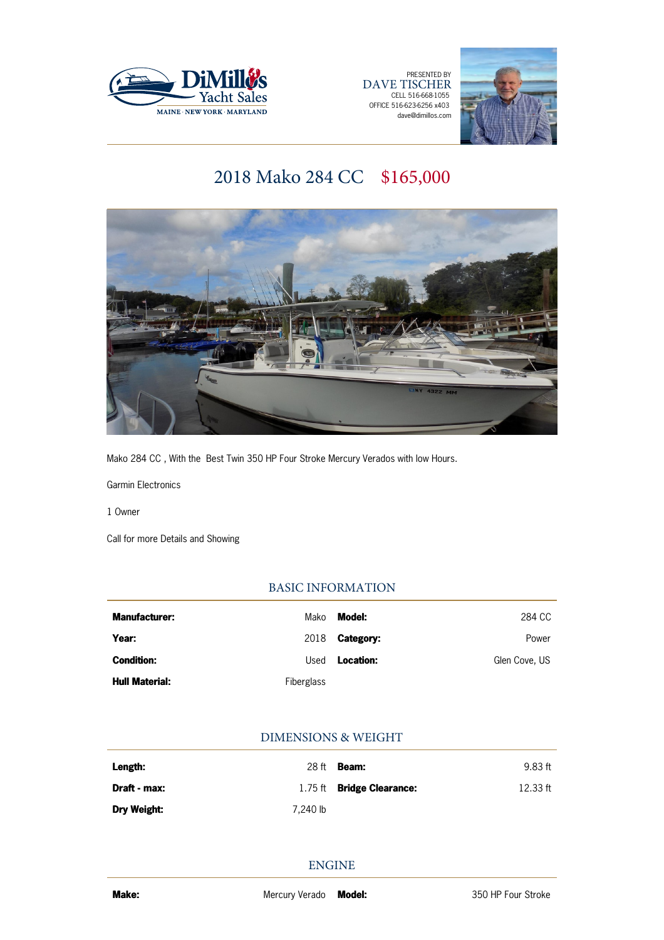

PRESENTED BY DAVE TISCHER CELL 516-668-1055 OFFICE 516-623-6256 x403 dave@dimillos.com



# 2018 Mako 284 CC \$165,000



Mako 284 CC , With the Best Twin 350 HP Four Stroke Mercury Verados with low Hours.

Garmin Electronics

1 Owner

Call for more Details and Showing

# BASIC INFORMATION

| <b>Manufacturer:</b>  | Mako       | Model:           | 284 CC        |
|-----------------------|------------|------------------|---------------|
| Year:                 | 2018       | <b>Category:</b> | Power         |
| <b>Condition:</b>     | Used       | Location:        | Glen Cove, US |
| <b>Hull Material:</b> | Fiberglass |                  |               |

# DIMENSIONS & WEIGHT

| Length:            | 28 ft    | <b>Beam:</b>                     | 9.83 ft    |
|--------------------|----------|----------------------------------|------------|
| Draft - max:       |          | 1.75 ft <b>Bridge Clearance:</b> | $12.33$ ft |
| <b>Dry Weight:</b> | 7.240 lb |                                  |            |

ENGINE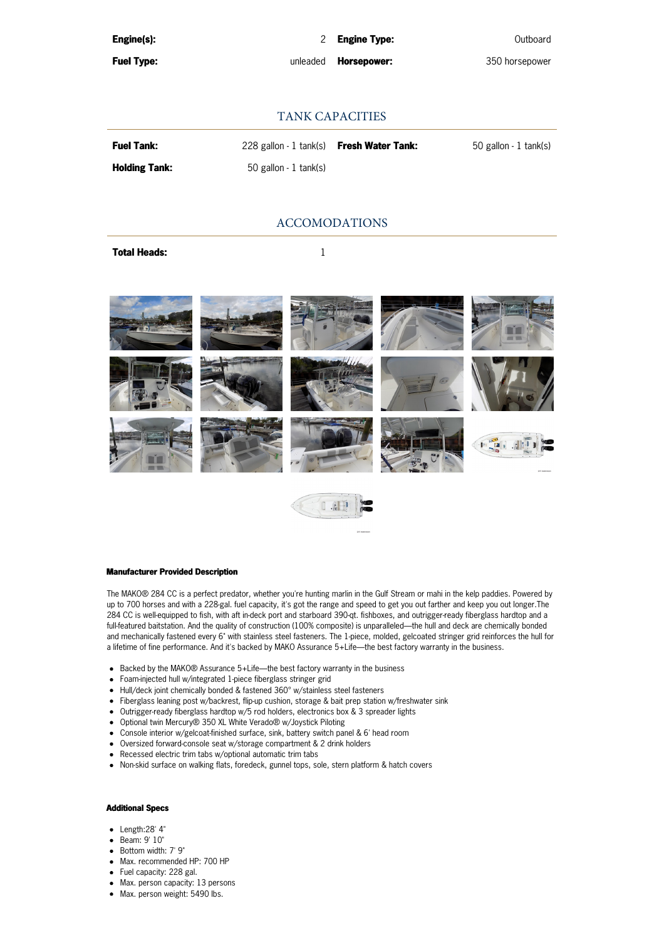| Engine(s): |  |
|------------|--|
|            |  |
|            |  |

**Fuel Type:** unleaded **Horsepower:** 350 horsepower

# TANK CAPACITIES

| <b>Fuel Tank:</b>    | 228 gallon - 1 tank(s) <b>Fresh Water Tank:</b> | 50 gallon - 1 tank(s) |
|----------------------|-------------------------------------------------|-----------------------|
| <b>Holding Tank:</b> | 50 gallon - 1 tank(s)                           |                       |

# ACCOMODATIONS

**Total Heads:** 1





#### **Manufacturer Provided Description**

The MAKO® 284 CC is a perfect predator, whether you're hunting marlin in the Gulf Stream or mahi in the kelp paddies. Powered by up to 700 horses and with a 228-gal. fuel capacity, it's got the range and speed to get you out farther and keep you out longer.The 284 CC is well-equipped to fish, with aft in-deck port and starboard 390-qt. fishboxes, and outrigger-ready fiberglass hardtop and a full-featured baitstation. And the quality of construction (100% composite) is unparalleled—the hull and deck are chemically bonded and mechanically fastened every 6" with stainless steel fasteners. The 1-piece, molded, gelcoated stringer grid reinforces the hull for a lifetime of fine performance. And it's backed by MAKO Assurance 5+Life—the best factory warranty in the business.

- Backed by the MAKO® Assurance 5+Life—the best factory warranty in the business
- Foam-injected hull w/integrated 1-piece fiberglass stringer grid
- Hull/deck joint chemically bonded & fastened 360° w/stainless steel fasteners
- Fiberglass leaning post w/backrest, flip-up cushion, storage & bait prep station w/freshwater sink
- Outrigger-ready fiberglass hardtop w/5 rod holders, electronics box & 3 spreader lights
- Optional twin Mercury® 350 XL White Verado® w/Joystick Piloting
- Console interior w/gelcoat-finished surface, sink, battery switch panel & 6' head room
- Oversized forward-console seat w/storage compartment & 2 drink holders
- Recessed electric trim tabs w/optional automatic trim tabs
- Non-skid surface on walking flats, foredeck, gunnel tops, sole, stern platform & hatch covers

#### **Additional Specs**

- Length:28' 4"
- Beam: 9' 10"
- Bottom width: 7' 9"
- Max. recommended HP: 700 HP
- Fuel capacity: 228 gal.
- Max. person capacity: 13 persons
- Max. person weight: 5490 lbs.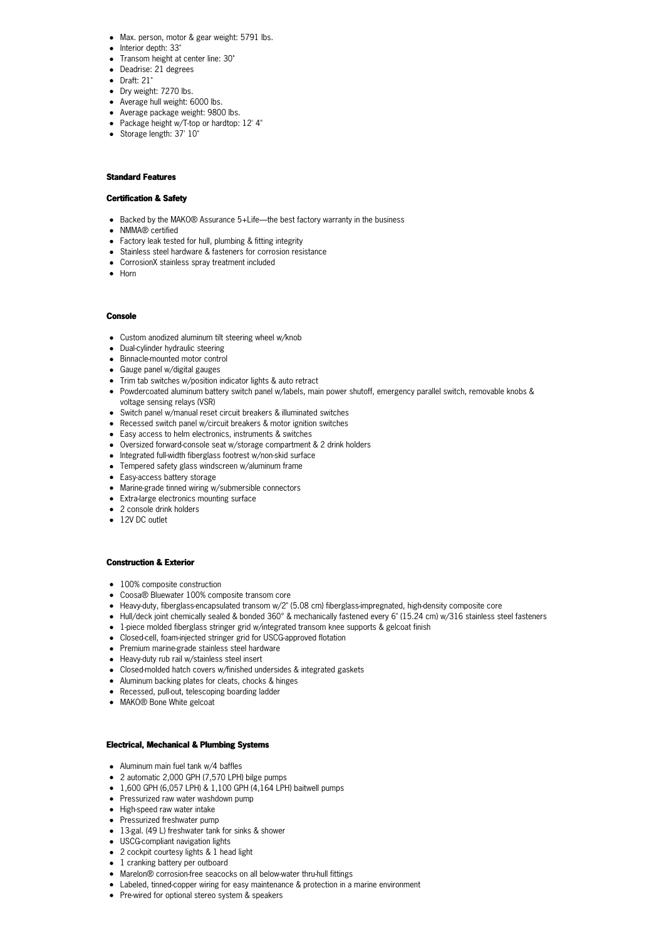- Max. person, motor & gear weight: 5791 lbs.
- **•** Interior depth: 33"
- Transom height at center line: 30"
- Deadrise: 21 degrees
- Draft: 21"
- Dry weight: 7270 lbs.
- Average hull weight: 6000 lbs.
- Average package weight: 9800 lbs.
- Package height w/T-top or hardtop: 12' 4"
- Storage length: 37' 10"

### **Standard Features**

### **Certification & Safety**

- Backed by the MAKO® Assurance 5+Life—the best factory warranty in the business
- NMMA® certified
- Factory leak tested for hull, plumbing & fitting integrity
- Stainless steel hardware & fasteners for corrosion resistance
- CorrosionX stainless spray treatment included
- Horn

#### **Console**

- Custom anodized aluminum tilt steering wheel w/knob
- Dual-cylinder hydraulic steering
- Binnacle-mounted motor control
- Gauge panel w/digital gauges
- Trim tab switches w/position indicator lights & auto retract
- Powdercoated aluminum battery switch panel w/labels, main power shutoff, emergency parallel switch, removable knobs & voltage sensing relays (VSR)
- Switch panel w/manual reset circuit breakers & illuminated switches
- Recessed switch panel w/circuit breakers & motor ignition switches
- Easy access to helm electronics, instruments & switches
- Oversized forward-console seat w/storage compartment & 2 drink holders
- $\bullet$  Integrated full-width fiberglass footrest w/non-skid surface
- Tempered safety glass windscreen w/aluminum frame
- Easy-access battery storage
- Marine-grade tinned wiring w/submersible connectors
- Extra-large electronics mounting surface
- 2 console drink holders
- 12V DC outlet

#### **Construction & Exterior**

- 100% composite construction
- Coosa® Bluewater 100% composite transom core
- Heavy-duty, fiberglass-encapsulated transom w/2" (5.08 cm) fiberglass-impregnated, high-density composite core
- Hull/deck joint chemically sealed & bonded 360° & mechanically fastened every 6" (15.24 cm) w/316 stainless steel fasteners
- 1-piece molded fiberglass stringer grid w/integrated transom knee supports & gelcoat finish
- Closed-cell, foam-injected stringer grid for USCG-approved flotation
- Premium marine-grade stainless steel hardware
- Heavy-duty rub rail w/stainless steel insert
- Closed-molded hatch covers w/finished undersides & integrated gaskets
- Aluminum backing plates for cleats, chocks & hinges
- Recessed, pull-out, telescoping boarding ladder
- MAKO® Bone White gelcoat

#### **Electrical, Mechanical & Plumbing Systems**

- Aluminum main fuel tank w/4 baffles
- 2 automatic 2,000 GPH (7,570 LPH) bilge pumps
- 1,600 GPH (6,057 LPH) & 1,100 GPH (4,164 LPH) baitwell pumps
- Pressurized raw water washdown pump
- High-speed raw water intake
- Pressurized freshwater pump
- 13-gal. (49 L) freshwater tank for sinks & shower
- USCG-compliant navigation lights
- 2 cockpit courtesy lights & 1 head light
- 1 cranking battery per outboard
- Marelon® corrosion-free seacocks on all below-water thru-hull fittings
- Labeled, tinned-copper wiring for easy maintenance & protection in a marine environment
- Pre-wired for optional stereo system & speakers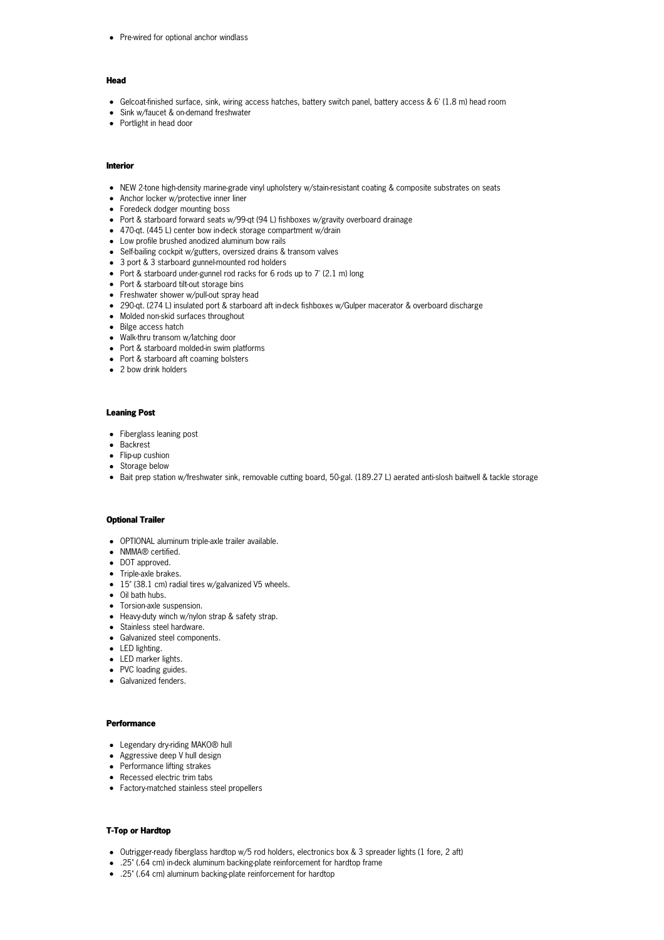• Pre-wired for optional anchor windlass

#### **Head**

- Gelcoat-finished surface, sink, wiring access hatches, battery switch panel, battery access & 6' (1.8 m) head room
- Sink w/faucet & on-demand freshwater
- Portlight in head door

### **Interior**

- NEW 2-tone high-density marine-grade vinyl upholstery w/stain-resistant coating & composite substrates on seats
- Anchor locker w/protective inner liner
- Foredeck dodger mounting boss
- Port & starboard forward seats w/99-qt (94 L) fishboxes w/gravity overboard drainage
- 470-qt. (445 L) center bow in-deck storage compartment w/drain
- Low profile brushed anodized aluminum bow rails
- Self-bailing cockpit w/gutters, oversized drains & transom valves
- 3 port & 3 starboard gunnel-mounted rod holders
- Port & starboard under-gunnel rod racks for 6 rods up to 7' (2.1 m) long
- Port & starboard tilt-out storage bins
- Freshwater shower w/pull-out spray head
- 290-qt. (274 L) insulated port & starboard aft in-deck fishboxes w/Gulper macerator & overboard discharge
- Molded non-skid surfaces throughout
- Bilge access hatch
- Walk-thru transom w/latching door
- Port & starboard molded-in swim platforms
- Port & starboard aft coaming bolsters
- 2 bow drink holders

#### **Leaning Post**

- Fiberglass leaning post
- Backrest
- Flip-up cushion
- Storage below
- Bait prep station w/freshwater sink, removable cutting board, 50-gal. (189.27 L) aerated anti-slosh baitwell & tackle storage

#### **Optional Trailer**

- OPTIONAL aluminum triple-axle trailer available.
- NMMA® certified.
- DOT approved.
- Triple-axle brakes.
- 15" (38.1 cm) radial tires w/galvanized V5 wheels.
- Oil bath hubs.
- Torsion-axle suspension.
- Heavy-duty winch w/nylon strap & safety strap.
- Stainless steel hardware.
- Galvanized steel components.
- LED lighting.
- LED marker lights.
- PVC loading guides.
- Galvanized fenders.

#### **Performance**

- Legendary dry-riding MAKO® hull
- Aggressive deep V hull design
- Performance lifting strakes
- Recessed electric trim tabs
- Factory-matched stainless steel propellers

### **T-Top or Hardtop**

- Outrigger-ready fiberglass hardtop w/5 rod holders, electronics box & 3 spreader lights (1 fore, 2 aft)
- .25" (.64 cm) in-deck aluminum backing-plate reinforcement for hardtop frame
- .25" (.64 cm) aluminum backing-plate reinforcement for hardtop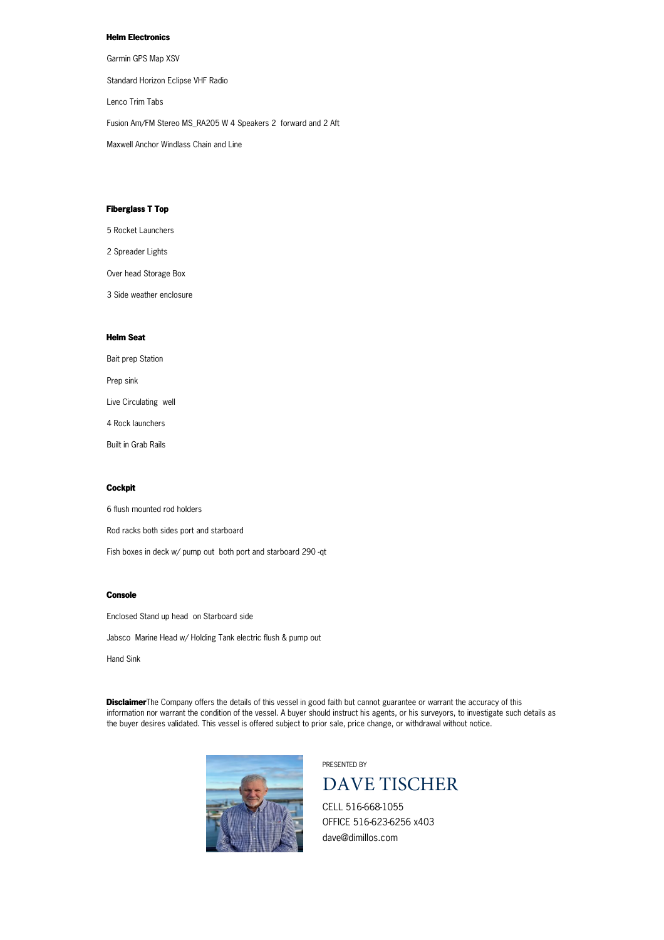# **Helm Electronics**

Garmin GPS Map XSV

Standard Horizon Eclipse VHF Radio

Lenco Trim Tabs

Fusion Am/FM Stereo MS\_RA205 W 4 Speakers 2 forward and 2 Aft

Maxwell Anchor Windlass Chain and Line

## **Fiberglass T Top**

5 Rocket Launchers

2 Spreader Lights

Over head Storage Box

3 Side weather enclosure

### **Helm Seat**

Bait prep Station Prep sink Live Circulating well 4 Rock launchers Built in Grab Rails

# **Cockpit**

6 flush mounted rod holders

Rod racks both sides port and starboard

Fish boxes in deck w/ pump out both port and starboard 290 -qt

#### **Console**

Enclosed Stand up head on Starboard side

Jabsco Marine Head w/ Holding Tank electric flush & pump out

Hand Sink

**Disclaimer**The Company offers the details of this vessel in good faith but cannot guarantee or warrant the accuracy of this information nor warrant the condition of the vessel. A buyer should instruct his agents, or his surveyors, to investigate such details as the buyer desires validated. This vessel is offered subject to prior sale, price change, or withdrawal without notice.



PRESENTED BY



CELL 516-668-1055 OFFICE 516-623-6256 x403 dave@dimillos.com